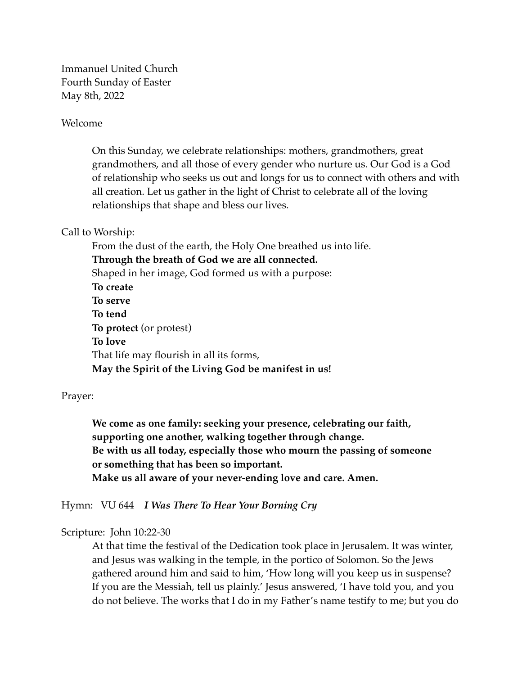Immanuel United Church Fourth Sunday of Easter May 8th, 2022

## Welcome

On this Sunday, we celebrate relationships: mothers, grandmothers, great grandmothers, and all those of every gender who nurture us. Our God is a God of relationship who seeks us out and longs for us to connect with others and with all creation. Let us gather in the light of Christ to celebrate all of the loving relationships that shape and bless our lives.

## Call to Worship:

From the dust of the earth, the Holy One breathed us into life. **Through the breath of God we are all connected.** Shaped in her image, God formed us with a purpose: **To create To serve To tend To protect** (or protest) **To love** That life may flourish in all its forms, **May the Spirit of the Living God be manifest in us!**

## Prayer:

**We come as one family: seeking your presence, celebrating our faith, supporting one another, walking together through change. Be with us all today, especially those who mourn the passing of someone or something that has been so important. Make us all aware of your never-ending love and care. Amen.** 

Hymn: VU 644 *I Was There To Hear Your Borning Cry*

## Scripture: John 10:22-30

At that time the festival of the Dedication took place in Jerusalem. It was winter, and Jesus was walking in the temple, in the portico of Solomon. So the Jews gathered around him and said to him, 'How long will you keep us in suspense? If you are the Messiah, tell us plainly.' Jesus answered, 'I have told you, and you do not believe. The works that I do in my Father's name testify to me; but you do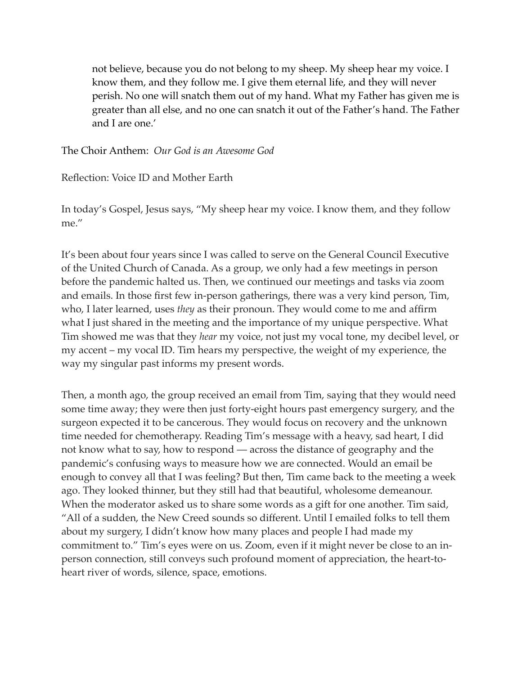not believe, because you do not belong to my sheep. My sheep hear my voice. I know them, and they follow me. I give them eternal life, and they will never perish. No one will snatch them out of my hand. What my Father has given me is greater than all else, and no one can snatch it out of the Father's hand. The Father and I are one.'

The Choir Anthem: *Our God is an Awesome God*

Reflection: Voice ID and Mother Earth

In today's Gospel, Jesus says, "My sheep hear my voice. I know them, and they follow me."

It's been about four years since I was called to serve on the General Council Executive of the United Church of Canada. As a group, we only had a few meetings in person before the pandemic halted us. Then, we continued our meetings and tasks via zoom and emails. In those first few in-person gatherings, there was a very kind person, Tim, who, I later learned, uses *they* as their pronoun. They would come to me and affirm what I just shared in the meeting and the importance of my unique perspective. What Tim showed me was that they *hear* my voice, not just my vocal tone, my decibel level, or my accent – my vocal ID. Tim hears my perspective, the weight of my experience, the way my singular past informs my present words.

Then, a month ago, the group received an email from Tim, saying that they would need some time away; they were then just forty-eight hours past emergency surgery, and the surgeon expected it to be cancerous. They would focus on recovery and the unknown time needed for chemotherapy. Reading Tim's message with a heavy, sad heart, I did not know what to say, how to respond — across the distance of geography and the pandemic's confusing ways to measure how we are connected. Would an email be enough to convey all that I was feeling? But then, Tim came back to the meeting a week ago. They looked thinner, but they still had that beautiful, wholesome demeanour. When the moderator asked us to share some words as a gift for one another. Tim said, "All of a sudden, the New Creed sounds so different. Until I emailed folks to tell them about my surgery, I didn't know how many places and people I had made my commitment to." Tim's eyes were on us. Zoom, even if it might never be close to an inperson connection, still conveys such profound moment of appreciation, the heart-toheart river of words, silence, space, emotions.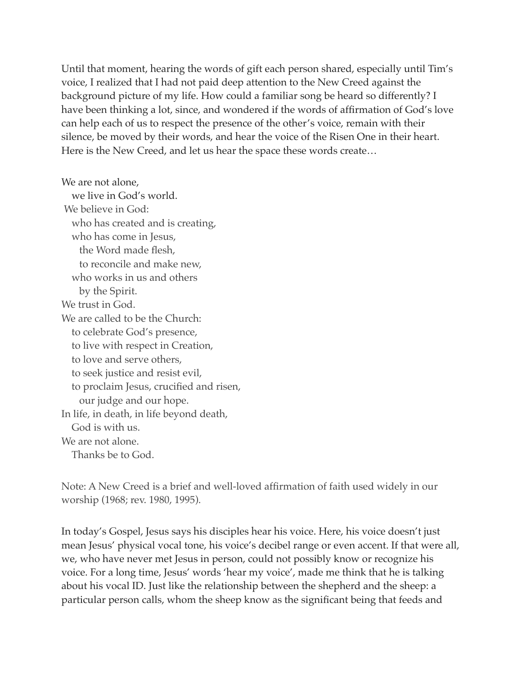Until that moment, hearing the words of gift each person shared, especially until Tim's voice, I realized that I had not paid deep attention to the New Creed against the background picture of my life. How could a familiar song be heard so differently? I have been thinking a lot, since, and wondered if the words of affirmation of God's love can help each of us to respect the presence of the other's voice, remain with their silence, be moved by their words, and hear the voice of the Risen One in their heart. Here is the New Creed, and let us hear the space these words create…

We are not alone, we live in God's world. We believe in God: who has created and is creating, who has come in Jesus, the Word made flesh, to reconcile and make new, who works in us and others by the Spirit. We trust in God. We are called to be the Church: to celebrate God's presence, to live with respect in Creation, to love and serve others, to seek justice and resist evil, to proclaim Jesus, crucified and risen, our judge and our hope. In life, in death, in life beyond death, God is with us. We are not alone. Thanks be to God.

Note: A New Creed is a brief and well-loved affirmation of faith used widely in our worship (1968; rev. 1980, 1995).

In today's Gospel, Jesus says his disciples hear his voice. Here, his voice doesn't just mean Jesus' physical vocal tone, his voice's decibel range or even accent. If that were all, we, who have never met Jesus in person, could not possibly know or recognize his voice. For a long time, Jesus' words 'hear my voice', made me think that he is talking about his vocal ID. Just like the relationship between the shepherd and the sheep: a particular person calls, whom the sheep know as the significant being that feeds and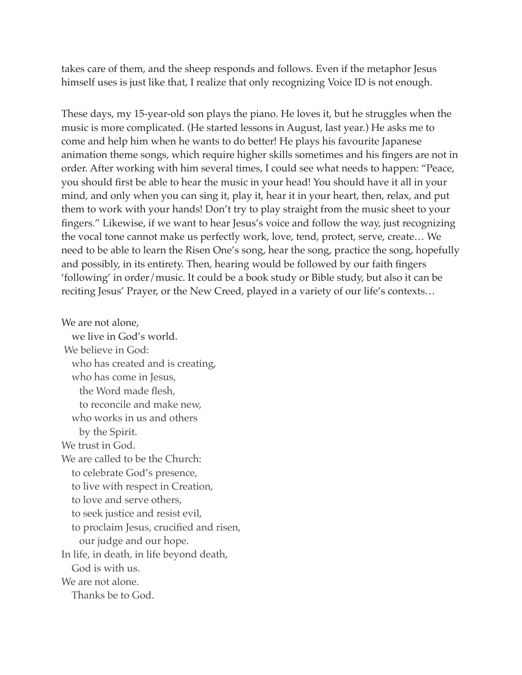takes care of them, and the sheep responds and follows. Even if the metaphor Jesus himself uses is just like that, I realize that only recognizing Voice ID is not enough.

These days, my 15-year-old son plays the piano. He loves it, but he struggles when the music is more complicated. (He started lessons in August, last year.) He asks me to come and help him when he wants to do better! He plays his favourite Japanese animation theme songs, which require higher skills sometimes and his fingers are not in order. After working with him several times, I could see what needs to happen: "Peace, you should first be able to hear the music in your head! You should have it all in your mind, and only when you can sing it, play it, hear it in your heart, then, relax, and put them to work with your hands! Don't try to play straight from the music sheet to your fingers." Likewise, if we want to hear Jesus's voice and follow the way, just recognizing the vocal tone cannot make us perfectly work, love, tend, protect, serve, create… We need to be able to learn the Risen One's song, hear the song, practice the song, hopefully and possibly, in its entirety. Then, hearing would be followed by our faith fingers 'following' in order/music. It could be a book study or Bible study, but also it can be reciting Jesus' Prayer, or the New Creed, played in a variety of our life's contexts…

We are not alone, we live in God's world. We believe in God: who has created and is creating, who has come in Jesus, the Word made flesh, to reconcile and make new, who works in us and others by the Spirit. We trust in God. We are called to be the Church: to celebrate God's presence, to live with respect in Creation, to love and serve others, to seek justice and resist evil, to proclaim Jesus, crucified and risen, our judge and our hope. In life, in death, in life beyond death, God is with us. We are not alone. Thanks be to God.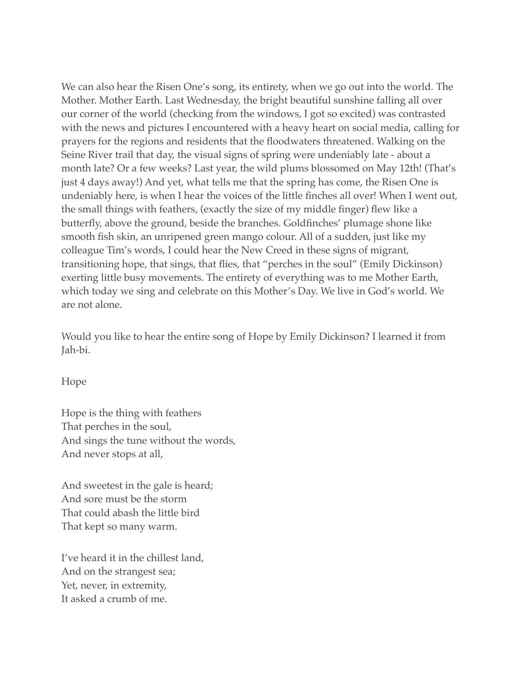We can also hear the Risen One's song, its entirety, when we go out into the world. The Mother. Mother Earth. Last Wednesday, the bright beautiful sunshine falling all over our corner of the world (checking from the windows, I got so excited) was contrasted with the news and pictures I encountered with a heavy heart on social media, calling for prayers for the regions and residents that the floodwaters threatened. Walking on the Seine River trail that day, the visual signs of spring were undeniably late - about a month late? Or a few weeks? Last year, the wild plums blossomed on May 12th! (That's just 4 days away!) And yet, what tells me that the spring has come, the Risen One is undeniably here, is when I hear the voices of the little finches all over! When I went out, the small things with feathers, (exactly the size of my middle finger) flew like a butterfly, above the ground, beside the branches. Goldfinches' plumage shone like smooth fish skin, an unripened green mango colour. All of a sudden, just like my colleague Tim's words, I could hear the New Creed in these signs of migrant, transitioning hope, that sings, that flies, that "perches in the soul" (Emily Dickinson) exerting little busy movements. The entirety of everything was to me Mother Earth, which today we sing and celebrate on this Mother's Day. We live in God's world. We are not alone.

Would you like to hear the entire song of Hope by Emily Dickinson? I learned it from Jah-bi.

Hope

Hope is the thing with feathers That perches in the soul, And sings the tune without the words, And never stops at all,

And sweetest in the gale is heard; And sore must be the storm That could abash the little bird That kept so many warm.

I've heard it in the chillest land, And on the strangest sea; Yet, never, in extremity, It asked a crumb of me.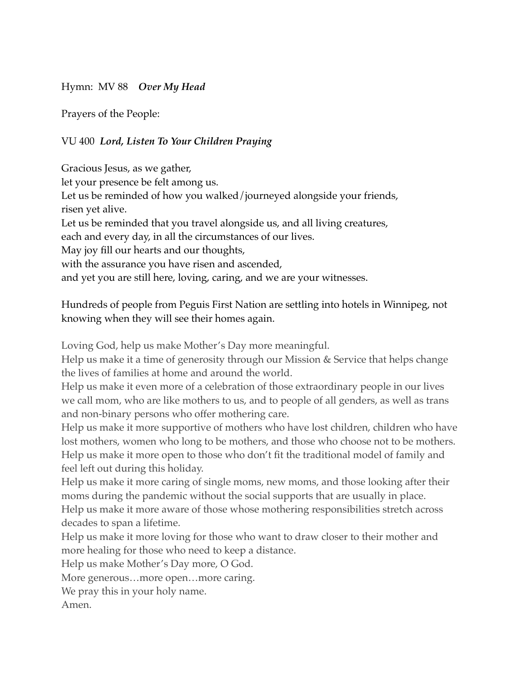Hymn: MV 88 *Over My Head* 

Prayers of the People:

VU 400 *Lord, Listen To Your Children Praying* 

Gracious Jesus, as we gather, let your presence be felt among us. Let us be reminded of how you walked/journeyed alongside your friends, risen yet alive. Let us be reminded that you travel alongside us, and all living creatures, each and every day, in all the circumstances of our lives. May joy fill our hearts and our thoughts, with the assurance you have risen and ascended, and yet you are still here, loving, caring, and we are your witnesses.

Hundreds of people from Peguis First Nation are settling into hotels in Winnipeg, not knowing when they will see their homes again.

Loving God, help us make Mother's Day more meaningful.

Help us make it a time of generosity through our Mission & Service that helps change the lives of families at home and around the world.

Help us make it even more of a celebration of those extraordinary people in our lives we call mom, who are like mothers to us, and to people of all genders, as well as trans and non-binary persons who offer mothering care.

Help us make it more supportive of mothers who have lost children, children who have lost mothers, women who long to be mothers, and those who choose not to be mothers. Help us make it more open to those who don't fit the traditional model of family and feel left out during this holiday.

Help us make it more caring of single moms, new moms, and those looking after their moms during the pandemic without the social supports that are usually in place. Help us make it more aware of those whose mothering responsibilities stretch across decades to span a lifetime.

Help us make it more loving for those who want to draw closer to their mother and more healing for those who need to keep a distance.

Help us make Mother's Day more, O God.

More generous…more open…more caring.

We pray this in your holy name.

Amen.